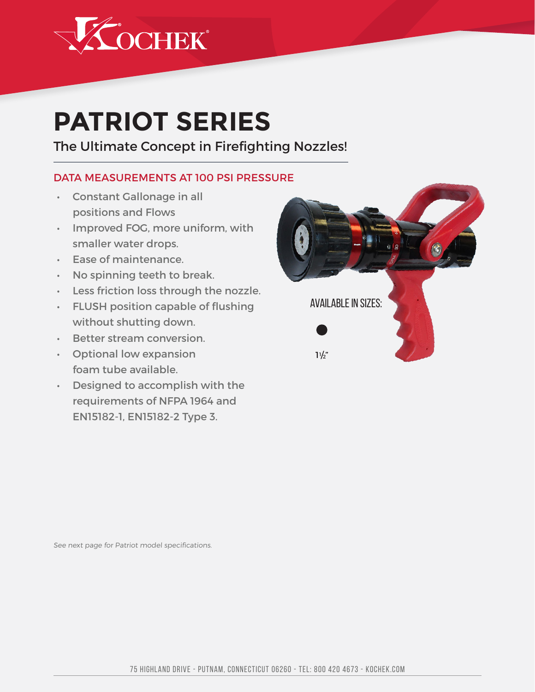

## **PATRIOT SERIES**

## The Ultimate Concept in Firefighting Nozzles!

## DATA MEASUREMENTS AT 100 PSI PRESSURE

- • Constant Gallonage in all positions and Flows
- • Improved FOG, more uniform, with smaller water drops.
- • Ease of maintenance.
- $\cdot$  No spinning teeth to break.
- • Less friction loss through the nozzle.
- • FLUSH position capable of flushing without shutting down.
- • Better stream conversion.
- • Optional low expansion foam tube available.
- • Designed to accomplish with the requirements of NFPA 1964 and EN15182-1, EN15182-2 Type 3.



See next page for Patriot model specifications.